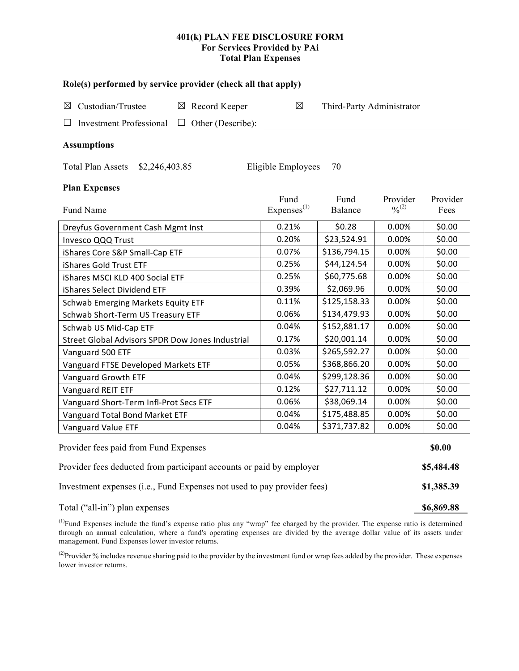## **401(k) PLAN FEE DISCLOSURE FORM For Services Provided by PAi Total Plan Expenses**

| Role(s) performed by service provider (check all that apply)            |                           |              |                                          |          |  |  |  |  |  |
|-------------------------------------------------------------------------|---------------------------|--------------|------------------------------------------|----------|--|--|--|--|--|
| Custodian/Trustee<br>$\boxtimes$ Record Keeper<br>⊠                     | Third-Party Administrator |              |                                          |          |  |  |  |  |  |
| <b>Investment Professional</b><br>Other (Describe):<br>ப<br>$\Box$      |                           |              |                                          |          |  |  |  |  |  |
| <b>Assumptions</b>                                                      |                           |              |                                          |          |  |  |  |  |  |
| Eligible Employees<br>Total Plan Assets \$2,246,403.85<br>70            |                           |              |                                          |          |  |  |  |  |  |
| <b>Plan Expenses</b>                                                    |                           |              |                                          |          |  |  |  |  |  |
|                                                                         | Fund                      | Fund         | Provider<br>$\frac{0}{2}$ <sup>(2)</sup> | Provider |  |  |  |  |  |
| Fund Name                                                               | Expenses <sup>(1)</sup>   | Balance      |                                          | Fees     |  |  |  |  |  |
| Dreyfus Government Cash Mgmt Inst                                       | 0.21%                     | \$0.28       | 0.00%                                    | \$0.00   |  |  |  |  |  |
| Invesco QQQ Trust                                                       | 0.20%                     | \$23,524.91  | 0.00%                                    | \$0.00   |  |  |  |  |  |
| iShares Core S&P Small-Cap ETF                                          | 0.07%                     | \$136,794.15 | 0.00%                                    | \$0.00   |  |  |  |  |  |
| iShares Gold Trust ETF                                                  | 0.25%                     | \$44,124.54  | 0.00%                                    | \$0.00   |  |  |  |  |  |
| iShares MSCI KLD 400 Social ETF                                         | 0.25%                     | \$60,775.68  | 0.00%                                    | \$0.00   |  |  |  |  |  |
| iShares Select Dividend ETF                                             | 0.39%                     | \$2,069.96   | 0.00%                                    | \$0.00   |  |  |  |  |  |
| Schwab Emerging Markets Equity ETF                                      | 0.11%                     | \$125,158.33 | 0.00%                                    | \$0.00   |  |  |  |  |  |
| Schwab Short-Term US Treasury ETF                                       | 0.06%                     | \$134,479.93 | 0.00%                                    | \$0.00   |  |  |  |  |  |
| Schwab US Mid-Cap ETF                                                   | 0.04%                     | \$152,881.17 | 0.00%                                    | \$0.00   |  |  |  |  |  |
| Street Global Advisors SPDR Dow Jones Industrial                        | 0.17%                     | \$20,001.14  | 0.00%                                    | \$0.00   |  |  |  |  |  |
| Vanguard 500 ETF                                                        | 0.03%                     | \$265,592.27 | 0.00%                                    | \$0.00   |  |  |  |  |  |
| Vanguard FTSE Developed Markets ETF                                     | 0.05%                     | \$368,866.20 | 0.00%                                    | \$0.00   |  |  |  |  |  |
| Vanguard Growth ETF                                                     | 0.04%                     | \$299,128.36 | 0.00%                                    | \$0.00   |  |  |  |  |  |
| Vanguard REIT ETF                                                       | 0.12%                     | \$27,711.12  | 0.00%                                    | \$0.00   |  |  |  |  |  |
| Vanguard Short-Term Infl-Prot Secs ETF                                  | 0.06%                     | \$38,069.14  | 0.00%                                    | \$0.00   |  |  |  |  |  |
| Vanguard Total Bond Market ETF                                          | 0.04%                     | \$175,488.85 | 0.00%                                    | \$0.00   |  |  |  |  |  |
| Vanguard Value ETF                                                      | 0.04%                     | \$371,737.82 | 0.00%                                    | \$0.00   |  |  |  |  |  |
| Provider fees paid from Fund Expenses                                   |                           |              |                                          |          |  |  |  |  |  |
| Provider fees deducted from participant accounts or paid by employer    |                           |              |                                          |          |  |  |  |  |  |
| Investment expenses (i.e., Fund Expenses not used to pay provider fees) |                           |              |                                          |          |  |  |  |  |  |

Total ("all-in") plan expenses **\$6,869.88**

 $<sup>(1)</sup>$ Fund Expenses include the fund's expense ratio plus any "wrap" fee charged by the provider. The expense ratio is determined</sup> through an annual calculation, where a fund's operating expenses are divided by the average dollar value of its assets under management. Fund Expenses lower investor returns.

<sup>(2)</sup>Provider % includes revenue sharing paid to the provider by the investment fund or wrap fees added by the provider. These expenses lower investor returns.